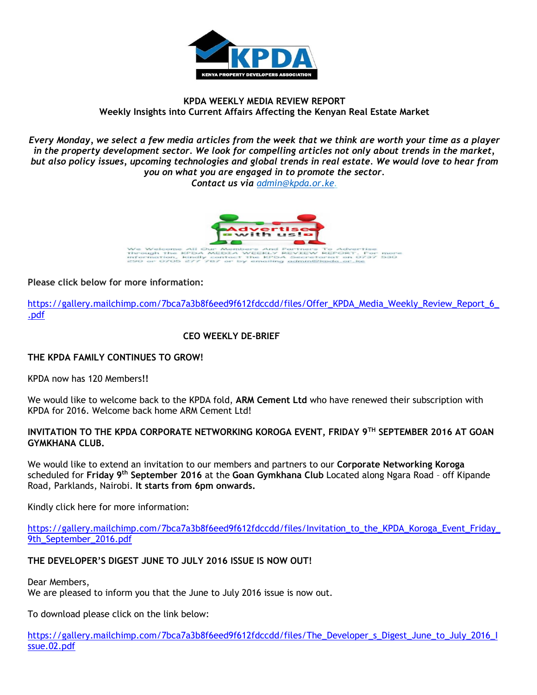

### **KPDA WEEKLY MEDIA REVIEW REPORT Weekly Insights into Current Affairs Affecting the Kenyan Real Estate Market**

*Every Monday, we select a few media articles from the week that we think are worth your time as a player in the property development sector. We look for compelling articles not only about trends in the market, but also policy issues, upcoming technologies and global trends in real estate. We would love to hear from you on what you are engaged in to promote the sector.*

*Contact us via [admin@kpda.or](mailto:admin@kpda.or.ke).ke.* 



**Please click below for more information:** 

[https://gallery.mailchimp.com/7bca7a3b8f6eed9f612fdccdd/files/Offer\\_KPDA\\_Media\\_Weekly\\_Review\\_Report\\_6\\_](https://gallery.mailchimp.com/7bca7a3b8f6eed9f612fdccdd/files/Offer_KPDA_Media_Weekly_Review_Report_6_.pdf) [.pdf](https://gallery.mailchimp.com/7bca7a3b8f6eed9f612fdccdd/files/Offer_KPDA_Media_Weekly_Review_Report_6_.pdf)

### **CEO WEEKLY DE-BRIEF**

### **THE KPDA FAMILY CONTINUES TO GROW!**

KPDA now has 120 Members**!!**

We would like to welcome back to the KPDA fold, **ARM Cement Ltd** who have renewed their subscription with KPDA for 2016. Welcome back home ARM Cement Ltd!

### **INVITATION TO THE KPDA CORPORATE NETWORKING KOROGA EVENT, FRIDAY 9TH SEPTEMBER 2016 AT GOAN GYMKHANA CLUB.**

We would like to extend an invitation to our members and partners to our **Corporate Networking Koroga**  scheduled for **Friday 9th September 2016** at the **Goan Gymkhana Club** Located along Ngara Road – off Kipande Road, Parklands, Nairobi. **It starts from 6pm onwards.**

Kindly click here for more information:

[https://gallery.mailchimp.com/7bca7a3b8f6eed9f612fdccdd/files/Invitation\\_to\\_the\\_KPDA\\_Koroga\\_Event\\_Friday\\_](https://gallery.mailchimp.com/7bca7a3b8f6eed9f612fdccdd/files/Invitation_to_the_KPDA_Koroga_Event_Friday_9th_September_2016.pdf) 9th September 2016.pdf

### **THE DEVELOPER'S DIGEST JUNE TO JULY 2016 ISSUE IS NOW OUT!**

Dear Members,

We are pleased to inform you that the June to July 2016 issue is now out.

To download please click on the link below:

[https://gallery.mailchimp.com/7bca7a3b8f6eed9f612fdccdd/files/The\\_Developer\\_s\\_Digest\\_June\\_to\\_July\\_2016\\_I](https://gallery.mailchimp.com/7bca7a3b8f6eed9f612fdccdd/files/The_Developer_s_Digest_June_to_July_2016_Issue.02.pdf) [ssue.02.pdf](https://gallery.mailchimp.com/7bca7a3b8f6eed9f612fdccdd/files/The_Developer_s_Digest_June_to_July_2016_Issue.02.pdf)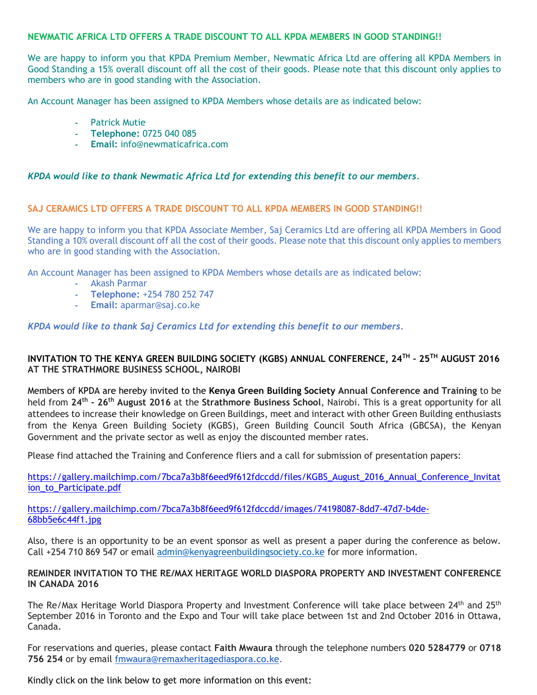### **NEWMATIC AFRICA LTD OFFERS A TRADE DISCOUNT TO ALL KPDA MEMBERS IN GOOD STANDING!!**

We are happy to inform you that KPDA Premium Member, Newmatic Africa Ltd are offering all KPDA Members in Good Standing a 15% overall discount off all the cost of their goods. Please note that this discount only applies to members who are in good standing with the Association.

An Account Manager has been assigned to KPDA Members whose details are as indicated below:

- **-** Patrick Mutie
- **- Telephone:** 0725 040 085
- **- Email:** info@newmaticafrica.com

#### *KPDA would like to thank Newmatic Africa Ltd for extending this benefit to our members.*

#### **SAJ CERAMICS LTD OFFERS A TRADE DISCOUNT TO ALL KPDA MEMBERS IN GOOD STANDING!!**

We are happy to inform you that KPDA Associate Member, Saj Ceramics Ltd are offering all KPDA Members in Good Standing a 10% overall discount off all the cost of their goods. Please note that this discount only applies to members who are in good standing with the Association.

An Account Manager has been assigned to KPDA Members whose details are as indicated below:

- **-** Akash Parmar
- **- Telephone:** +254 780 252 747
- **- Email:** aparmar@saj.co.ke

#### *KPDA would like to thank Saj Ceramics Ltd for extending this benefit to our members.*

### **INVITATION TO THE KENYA GREEN BUILDING SOCIETY (KGBS) ANNUAL CONFERENCE, 24TH – 25TH AUGUST 2016 AT THE STRATHMORE BUSINESS SCHOOL, NAIROBI**

Members of KPDA are hereby invited to the **Kenya Green Building Society Annual Conference and Training** to be held from **24th - 26th August 2016** at the **Strathmore Business School**, Nairobi. This is a great opportunity for all attendees to increase their knowledge on Green Buildings, meet and interact with other Green Building enthusiasts from the Kenya Green Building Society (KGBS), Green Building Council South Africa (GBCSA), the Kenyan Government and the private sector as well as enjoy the discounted member rates.

Please find attached the Training and Conference fliers and a call for submission of presentation papers:

[https://gallery.mailchimp.com/7bca7a3b8f6eed9f612fdccdd/files/KGBS\\_August\\_2016\\_Annual\\_Conference\\_Invitat](https://gallery.mailchimp.com/7bca7a3b8f6eed9f612fdccdd/images/74198087-8dd7-47d7-b4de-68bb5e6c44f1.jpg) [ion\\_to\\_Participate.pdf](https://gallery.mailchimp.com/7bca7a3b8f6eed9f612fdccdd/images/74198087-8dd7-47d7-b4de-68bb5e6c44f1.jpg)

[https://gallery.mailchimp.com/7bca7a3b8f6eed9f612fdccdd/images/74198087-8dd7-47d7-b4de-](https://gallery.mailchimp.com/7bca7a3b8f6eed9f612fdccdd/images/74198087-8dd7-47d7-b4de-68bb5e6c44f1.jpg)[68bb5e6c44f1.jpg](https://gallery.mailchimp.com/7bca7a3b8f6eed9f612fdccdd/images/74198087-8dd7-47d7-b4de-68bb5e6c44f1.jpg)

Also, there is an opportunity to be an event sponsor as well as present a paper during the conference as below. Call +254 710 869 547 or email [admin@kenyagreenbuildingsociety.co.ke](mailto:admin@kenyagreenbuildingsociety.co.ke) for more information.

### **REMINDER INVITATION TO THE RE/MAX HERITAGE WORLD DIASPORA PROPERTY AND INVESTMENT CONFERENCE IN CANADA 2016**

The Re/Max Heritage World Diaspora Property and Investment Conference will take place between 24<sup>th</sup> and 25<sup>th</sup> September 2016 in Toronto and the Expo and Tour will take place between 1st and 2nd October 2016 in Ottawa, Canada.

For reservations and queries, please contact **Faith Mwaura** through the telephone numbers **020 5284779** or **0718 756 254** or by email [fmwaura@remaxheritagediaspora.co.ke.](mailto:fmwaura@remaxheritagediaspora.co.ke)

Kindly click on the link below to get more information on this event: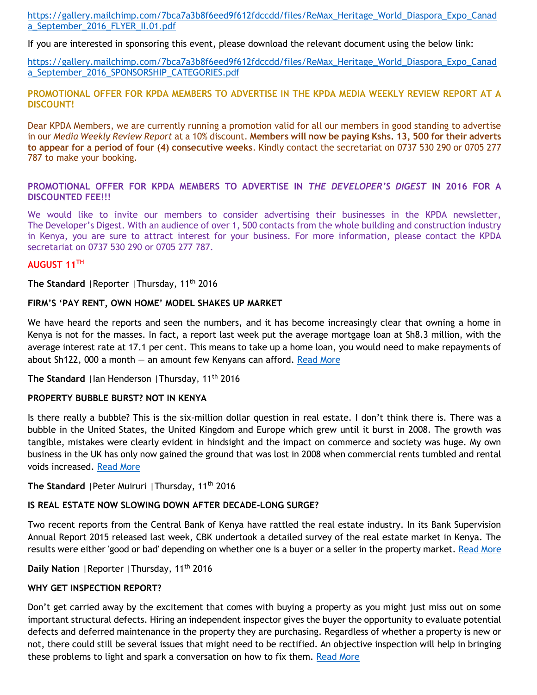[https://gallery.mailchimp.com/7bca7a3b8f6eed9f612fdccdd/files/ReMax\\_Heritage\\_World\\_Diaspora\\_Expo\\_Canad](https://gallery.mailchimp.com/7bca7a3b8f6eed9f612fdccdd/files/ReMax_Heritage_World_Diaspora_Expo_Canada_September_2016_FLYER_II.01.pdf) [a\\_September\\_2016\\_FLYER\\_II.01.pdf](https://gallery.mailchimp.com/7bca7a3b8f6eed9f612fdccdd/files/ReMax_Heritage_World_Diaspora_Expo_Canada_September_2016_FLYER_II.01.pdf)

If you are interested in sponsoring this event, please download the relevant document using the below link:

[https://gallery.mailchimp.com/7bca7a3b8f6eed9f612fdccdd/files/ReMax\\_Heritage\\_World\\_Diaspora\\_Expo\\_Canad](https://gallery.mailchimp.com/7bca7a3b8f6eed9f612fdccdd/files/ReMax_Heritage_World_Diaspora_Expo_Canada_September_2016_SPONSORSHIP_CATEGORIES.pdf) [a\\_September\\_2016\\_SPONSORSHIP\\_CATEGORIES.pdf](https://gallery.mailchimp.com/7bca7a3b8f6eed9f612fdccdd/files/ReMax_Heritage_World_Diaspora_Expo_Canada_September_2016_SPONSORSHIP_CATEGORIES.pdf)

#### **PROMOTIONAL OFFER FOR KPDA MEMBERS TO ADVERTISE IN THE KPDA MEDIA WEEKLY REVIEW REPORT AT A DISCOUNT!**

Dear KPDA Members, we are currently running a promotion valid for all our members in good standing to advertise in our *Media Weekly Review Report* at a 10% discount. **Members will now be paying Kshs. 13, 500 for their adverts to appear for a period of four (4) consecutive weeks**. Kindly contact the secretariat on 0737 530 290 or 0705 277 787 to make your booking.

### **PROMOTIONAL OFFER FOR KPDA MEMBERS TO ADVERTISE IN** *THE DEVELOPER'S DIGEST* **IN 2016 FOR A DISCOUNTED FEE!!!**

We would like to invite our members to consider advertising their businesses in the KPDA newsletter, The Developer's Digest. With an audience of over 1, 500 contacts from the whole building and construction industry in Kenya, you are sure to attract interest for your business. For more information, please contact the KPDA secretariat on 0737 530 290 or 0705 277 787.

### **AUGUST 11TH**

The Standard | Reporter | Thursday, 11<sup>th</sup> 2016

#### **FIRM'S 'PAY RENT, OWN HOME' MODEL SHAKES UP MARKET**

We have heard the reports and seen the numbers, and it has become increasingly clear that owning a home in Kenya is not for the masses. In fact, a report last week put the average mortgage loan at Sh8.3 million, with the average interest rate at 17.1 per cent. This means to take up a home loan, you would need to make repayments of about Sh122, 000 a month  $-$  an amount few Kenyans can afford. [Read More](http://www.standardmedia.co.ke/lifestyle/article/2000211623/firm-s-pay-rent-own-home-model-shakes-up-market)

The Standard | Ian Henderson | Thursday, 11<sup>th</sup> 2016

### **PROPERTY BUBBLE BURST? NOT IN KENYA**

Is there really a bubble? This is the six-million dollar question in real estate. I don't think there is. There was a bubble in the United States, the United Kingdom and Europe which grew until it burst in 2008. The growth was tangible, mistakes were clearly evident in hindsight and the impact on commerce and society was huge. My own business in the UK has only now gained the ground that was lost in 2008 when commercial rents tumbled and rental voids increased. [Read More](http://www.standardmedia.co.ke/lifestyle/article/2000211625/property-bubble-burst-not-in-kenya)

The Standard | Peter Muiruri | Thursday, 11<sup>th</sup> 2016

## **IS REAL ESTATE NOW SLOWING DOWN AFTER DECADE-LONG SURGE?**

Two recent reports from the Central Bank of Kenya have rattled the real estate industry. In its Bank Supervision Annual Report 2015 released last week, CBK undertook a detailed survey of the real estate market in Kenya. The results were either 'good or bad' depending on whether one is a buyer or a seller in the property market[. Read More](http://www.standardmedia.co.ke/lifestyle/article/2000211626/is-real-estate-now-slowing-down-after-decade-long-surge)

**Daily Nation** |Reporter |Thursday, 11th 2016

## **WHY GET INSPECTION REPORT?**

Don't get carried away by the excitement that comes with buying a property as you might just miss out on some important structural defects. Hiring an independent inspector gives the buyer the opportunity to evaluate potential defects and deferred maintenance in the property they are purchasing. Regardless of whether a property is new or not, there could still be several issues that might need to be rectified. An objective inspection will help in bringing these problems to light and spark a conversation on how to fix them. [Read More](http://www.nation.co.ke/lifestyle/DN2/Why-get-inspection-report/957860-3339766-6p1pnj/index.html)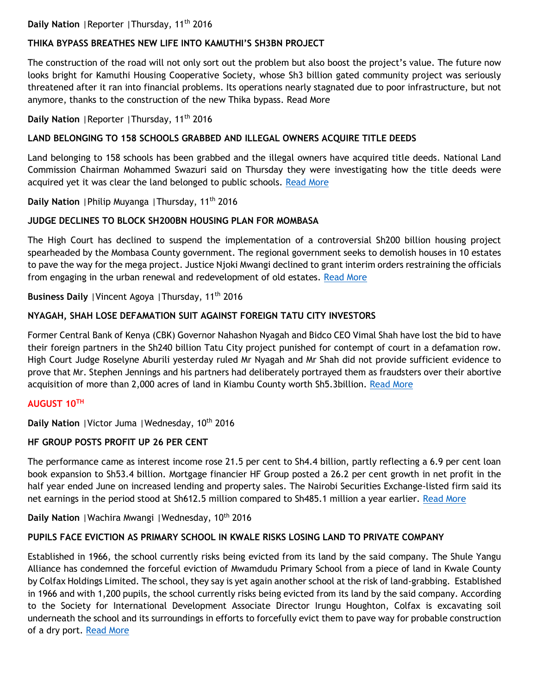## Daily Nation | Reporter | Thursday, 11<sup>th</sup> 2016

## **THIKA BYPASS BREATHES NEW LIFE INTO KAMUTHI'S SH3BN PROJECT**

The construction of the road will not only sort out the problem but also boost the project's value. The future now looks bright for Kamuthi Housing Cooperative Society, whose Sh3 billion gated community project was seriously threatened after it ran into financial problems. Its operations nearly stagnated due to poor infrastructure, but not anymore, thanks to the construction of the new Thika bypass. Read More

Daily Nation | Reporter | Thursday, 11<sup>th</sup> 2016

## **LAND BELONGING TO 158 SCHOOLS GRABBED AND ILLEGAL OWNERS ACQUIRE TITLE DEEDS**

Land belonging to 158 schools has been grabbed and the illegal owners have acquired title deeds. National Land Commission Chairman Mohammed Swazuri said on Thursday they were investigating how the title deeds were acquired yet it was clear the land belonged to public schools. [Read More](http://www.nation.co.ke/news/land-for-schools-grabbed-and-illegal-owners-acquire-title-deeds/1056-3341696-g8pjw6/index.html)

**Daily Nation** |Philip Muyanga |Thursday, 11th 2016

## **JUDGE DECLINES TO BLOCK SH200BN HOUSING PLAN FOR MOMBASA**

The High Court has declined to suspend the implementation of a controversial Sh200 billion housing project spearheaded by the Mombasa County government. The regional government seeks to demolish houses in 10 estates to pave the way for the mega project. Justice Njoki Mwangi declined to grant interim orders restraining the officials from engaging in the urban renewal and redevelopment of old estates. [Read More](http://www.nation.co.ke/counties/mombasa/judge-declines-to-block-housing-plan-for-mombasa/1954178-3341698-h0lshfz/index.html)

Business Daily | Vincent Agoya | Thursday, 11<sup>th</sup> 2016

## **NYAGAH, SHAH LOSE DEFAMATION SUIT AGAINST FOREIGN TATU CITY INVESTORS**

Former Central Bank of Kenya (CBK) Governor Nahashon Nyagah and Bidco CEO Vimal Shah have lost the bid to have their foreign partners in the Sh240 billion Tatu City project punished for contempt of court in a defamation row. High Court Judge Roselyne Aburili yesterday ruled Mr Nyagah and Mr Shah did not provide sufficient evidence to prove that Mr. Stephen Jennings and his partners had deliberately portrayed them as fraudsters over their abortive acquisition of more than 2,000 acres of land in Kiambu County worth Sh5.3billion. [Read More](http://www.businessdailyafrica.com/Nyagah-Shah-lose-defamation-suit-against-foreign-Tatu-City/539546-3341490-gipd22z/index.html)

## **AUGUST 10TH**

Daily Nation | Victor Juma | Wednesday, 10<sup>th</sup> 2016

## **HF GROUP POSTS PROFIT UP 26 PER CENT**

The performance came as interest income rose 21.5 per cent to Sh4.4 billion, partly reflecting a 6.9 per cent loan book expansion to Sh53.4 billion. Mortgage financier HF Group posted a 26.2 per cent growth in net profit in the half year ended June on increased lending and property sales. The Nairobi Securities Exchange-listed firm said its net earnings in the period stood at Sh612.5 million compared to Sh485.1 million a year earlier. [Read More](http://www.nation.co.ke/business/HF-Group-posts-profit-up-26-per-cent/996-3339144-e6m9p2/index.html)

**Daily Nation** | Wachira Mwangi | Wednesday, 10<sup>th</sup> 2016

## **PUPILS FACE EVICTION AS PRIMARY SCHOOL IN KWALE RISKS LOSING LAND TO PRIVATE COMPANY**

Established in 1966, the school currently risks being evicted from its land by the said company. The Shule Yangu Alliance has condemned the forceful eviction of Mwamdudu Primary School from a piece of land in Kwale County by Colfax Holdings Limited. The school, they say is yet again another school at the risk of land-grabbing. Established in 1966 and with 1,200 pupils, the school currently risks being evicted from its land by the said company. According to the Society for International Development Associate Director Irungu Houghton, Colfax is excavating soil underneath the school and its surroundings in efforts to forcefully evict them to pave way for probable construction of a dry port. [Read More](http://www.nation.co.ke/counties/Saving-Mwamdudu-Primary-School/1107872-3339004-xkm127z/index.html)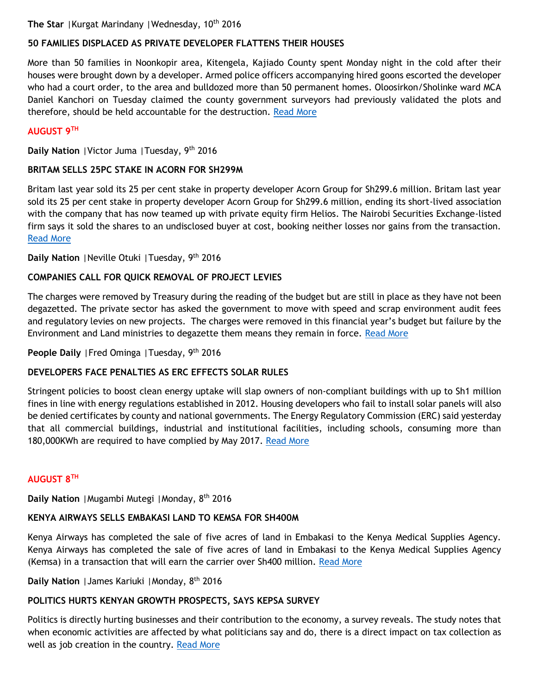The Star | Kurgat Marindany | Wednesday, 10<sup>th</sup> 2016

# **50 FAMILIES DISPLACED AS PRIVATE DEVELOPER FLATTENS THEIR HOUSES**

More than 50 families in Noonkopir area, Kitengela, Kajiado County spent Monday night in the cold after their houses were brought down by a developer. Armed police officers accompanying hired goons escorted the developer who had a court order, to the area and bulldozed more than 50 permanent homes. Oloosirkon/Sholinke ward MCA Daniel Kanchori on Tuesday claimed the county government surveyors had previously validated the plots and therefore, should be held accountable for the destruction. [Read More](file:///C:/Users/user/Documents/MEDIA%20WEEKLY%20MATTERS/More%20that%2050%20families%20in%20Noonkopir%20area,%20Kitengela,%20Kajiado%20county%20spent%20Monday%20night%20in%20the%20cold%20after%20their%20houses%20were%20brought%20down%20by%20a%20developer)

## **AUGUST 9TH**

**Daily Nation** |Victor Juma |Tuesday, 9th 2016

## **BRITAM SELLS 25PC STAKE IN ACORN FOR SH299M**

Britam last year sold its 25 per cent stake in property developer Acorn Group for Sh299.6 million. Britam last year sold its 25 per cent stake in property developer Acorn Group for Sh299.6 million, ending its short-lived association with the company that has now teamed up with private equity firm Helios. The Nairobi Securities Exchange-listed firm says it sold the shares to an undisclosed buyer at cost, booking neither losses nor gains from the transaction. [Read More](http://www.nation.co.ke/business/Britam-sells-25pc-stake-in-Acorn-at-Sh299m/996-3336888-ndhmu/index.html)

**Daily Nation** |Neville Otuki |Tuesday, 9th 2016

## **COMPANIES CALL FOR QUICK REMOVAL OF PROJECT LEVIES**

The charges were removed by Treasury during the reading of the budget but are still in place as they have not been degazetted. The private sector has asked the government to move with speed and scrap environment audit fees and regulatory levies on new projects. The charges were removed in this financial year's budget but failure by the Environment and Land ministries to degazette them means they remain in force. [Read More](http://www.nation.co.ke/business/Companies-call-for-quick-removal-of-project-levies/996-3337200-8910r7/index.html)

## People Daily | Fred Ominga | Tuesday, 9<sup>th</sup> 2016

## **DEVELOPERS FACE PENALTIES AS ERC EFFECTS SOLAR RULES**

Stringent policies to boost clean energy uptake will slap owners of non-compliant buildings with up to Sh1 million fines in line with energy regulations established in 2012. Housing developers who fail to install solar panels will also be denied certificates by county and national governments. The Energy Regulatory Commission (ERC) said yesterday that all commercial buildings, industrial and institutional facilities, including schools, consuming more than 180,000KWh are required to have complied by May 2017. [Read More](http://www.mediamaxnetwork.co.ke/people-daily/241958/developers-face-penalties-as-erc-effects-solar-rules/)

## **AUGUST 8TH**

**Daily Nation** |Mugambi Mutegi |Monday, 8th 2016

# **KENYA AIRWAYS SELLS EMBAKASI LAND TO KEMSA FOR SH400M**

Kenya Airways has completed the sale of five acres of land in Embakasi to the Kenya Medical Supplies Agency. Kenya Airways has completed the sale of five acres of land in Embakasi to the Kenya Medical Supplies Agency (Kemsa) in a transaction that will earn the carrier over Sh400 million. [Read More](http://www.nation.co.ke/business/Kenya-Airways-sells-Embakasi-land-to-Kemsa-for-Sh400m/996-3335632-uaqmkr/index.html)

**Daily Nation** |James Kariuki |Monday, 8th 2016

# **POLITICS HURTS KENYAN GROWTH PROSPECTS, SAYS KEPSA SURVEY**

Politics is directly hurting businesses and their contribution to the economy, a survey reveals. The study notes that when economic activities are affected by what politicians say and do, there is a direct impact on tax collection as well as job creation in the country. [Read More](http://www.nation.co.ke/business/Politics-hurts-Kenyan-growth-prospects-says-Kepsa-survey/996-3335610-bqly7ez/index.html)